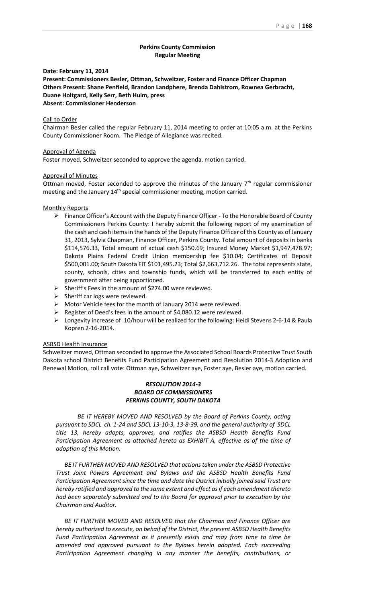# **Perkins County Commission Regular Meeting**

**Date: February 11, 2014**

**Present: Commissioners Besler, Ottman, Schweitzer, Foster and Finance Officer Chapman Others Present: Shane Penfield, Brandon Landphere, Brenda Dahlstrom, Rownea Gerbracht, Duane Holtgard, Kelly Serr, Beth Hulm, press Absent: Commissioner Henderson**

### Call to Order

Chairman Besler called the regular February 11, 2014 meeting to order at 10:05 a.m. at the Perkins County Commissioner Room. The Pledge of Allegiance was recited.

### Approval of Agenda

Foster moved, Schweitzer seconded to approve the agenda, motion carried.

## Approval of Minutes

Ottman moved, Foster seconded to approve the minutes of the January  $7<sup>th</sup>$  regular commissioner meeting and the January 14<sup>th</sup> special commissioner meeting, motion carried.

### Monthly Reports

- Finance Officer's Account with the Deputy Finance Officer To the Honorable Board of County Commissioners Perkins County: I hereby submit the following report of my examination of the cash and cash items in the hands of the Deputy Finance Officer of this County as of January 31, 2013, Sylvia Chapman, Finance Officer, Perkins County. Total amount of deposits in banks \$114,576.33, Total amount of actual cash \$150.69; Insured Money Market \$1,947,478.97; Dakota Plains Federal Credit Union membership fee \$10.04; Certificates of Deposit \$500,001.00; South Dakota FIT \$101,495.23; Total \$2,663,712.26. The total represents state, county, schools, cities and township funds, which will be transferred to each entity of government after being apportioned.
- $\triangleright$  Sheriff's Fees in the amount of \$274.00 were reviewed.
- $\triangleright$  Sheriff car logs were reviewed.
- Motor Vehicle fees for the month of January 2014 were reviewed.
- Register of Deed's fees in the amount of \$4,080.12 were reviewed.
- Longevity increase of .10/hour will be realized for the following: Heidi Stevens 2-6-14 & Paula Kopren 2-16-2014.

### ASBSD Health Insurance

Schweitzer moved, Ottman seconded to approve the Associated School Boards Protective Trust South Dakota school District Benefits Fund Participation Agreement and Resolution 2014-3 Adoption and Renewal Motion, roll call vote: Ottman aye, Schweitzer aye, Foster aye, Besler aye, motion carried.

# *RESOLUTION 2014-3 BOARD OF COMMISSIONERS PERKINS COUNTY, SOUTH DAKOTA*

*BE IT HEREBY MOVED AND RESOLVED by the Board of Perkins County, acting pursuant to SDCL ch. 1-24 and SDCL 13-10-3, 13-8-39, and the general authority of SDCL title 13, hereby adopts, approves, and ratifies the ASBSD Health Benefits Fund*  Participation Agreement as attached hereto as EXHIBIT A, effective as of the time of *adoption of this Motion.*

*BE IT FURTHER MOVED AND RESOLVED that actions taken under the ASBSD Protective Trust Joint Powers Agreement and Bylaws and the ASBSD Health Benefits Fund Participation Agreement since the time and date the District initially joined said Trust are hereby ratified and approved to the same extent and effect as if each amendment thereto had been separately submitted and to the Board for approval prior to execution by the Chairman and Auditor.* 

*BE IT FURTHER MOVED AND RESOLVED that the Chairman and Finance Officer are hereby authorized to execute, on behalf of the District, the present ASBSD Health Benefits Fund Participation Agreement as it presently exists and may from time to time be amended and approved pursuant to the Bylaws herein adopted. Each succeeding*  Participation Agreement changing in any manner the benefits, contributions, or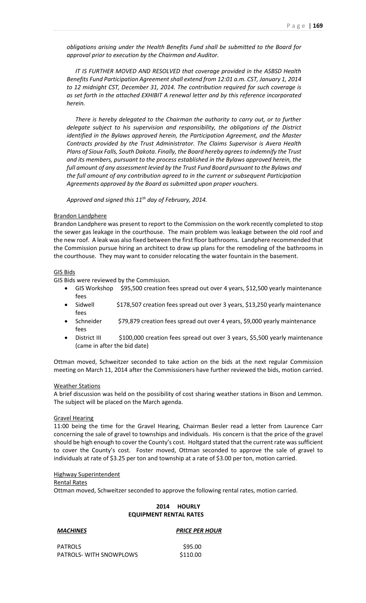*obligations arising under the Health Benefits Fund shall be submitted to the Board for approval prior to execution by the Chairman and Auditor.*

*IT IS FURTHER MOVED AND RESOLVED that coverage provided in the ASBSD Health Benefits Fund Participation Agreement shall extend from 12:01 a.m. CST, January 1, 2014 to 12 midnight CST, December 31, 2014. The contribution required for such coverage is as set forth in the attached EXHIBIT A renewal letter and by this reference incorporated herein.* 

*There is hereby delegated to the Chairman the authority to carry out, or to further delegate subject to his supervision and responsibility, the obligations of the District identified in the Bylaws approved herein, the Participation Agreement, and the Master Contracts provided by the Trust Administrator. The Claims Supervisor is Avera Health Plans of Sioux Falls, South Dakota. Finally, the Board hereby agrees to indemnify the Trust and its members, pursuant to the process established in the Bylaws approved herein, the full amount of any assessment levied by the Trust Fund Board pursuant to the Bylaws and the full amount of any contribution agreed to in the current or subsequent Participation Agreements approved by the Board as submitted upon proper vouchers.*

*Approved and signed this 11th day of February, 2014.*

### Brandon Landphere

Brandon Landphere was present to report to the Commission on the work recently completed to stop the sewer gas leakage in the courthouse. The main problem was leakage between the old roof and the new roof. A leak was also fixed between the first floor bathrooms. Landphere recommended that the Commission pursue hiring an architect to draw up plans for the remodeling of the bathrooms in the courthouse. They may want to consider relocating the water fountain in the basement.

### GIS Bids

GIS Bids were reviewed by the Commission.

- GIS Workshop \$95,500 creation fees spread out over 4 years, \$12,500 yearly maintenance fees
- Sidwell  $$178,507$  creation fees spread out over 3 years, \$13,250 yearly maintenance fees
- Schneider \$79,879 creation fees spread out over 4 years, \$9,000 yearly maintenance fees
- District III \$100,000 creation fees spread out over 3 years, \$5,500 yearly maintenance (came in after the bid date)

Ottman moved, Schweitzer seconded to take action on the bids at the next regular Commission meeting on March 11, 2014 after the Commissioners have further reviewed the bids, motion carried.

### Weather Stations

A brief discussion was held on the possibility of cost sharing weather stations in Bison and Lemmon. The subject will be placed on the March agenda.

### Gravel Hearing

11:00 being the time for the Gravel Hearing, Chairman Besler read a letter from Laurence Carr concerning the sale of gravel to townships and individuals. His concern is that the price of the gravel should be high enough to cover the County's cost. Holtgard stated that the current rate was sufficient to cover the County's cost. Foster moved, Ottman seconded to approve the sale of gravel to individuals at rate of \$3.25 per ton and township at a rate of \$3.00 per ton, motion carried.

## Highway Superintendent

### Rental Rates

Ottman moved, Schweitzer seconded to approve the following rental rates, motion carried.

### **2014 HOURLY EQUIPMENT RENTAL RATES**

# *MACHINES PRICE PER HOUR* PATROLS \$95.00 PATROLS- WITH SNOWPLOWS \$110.00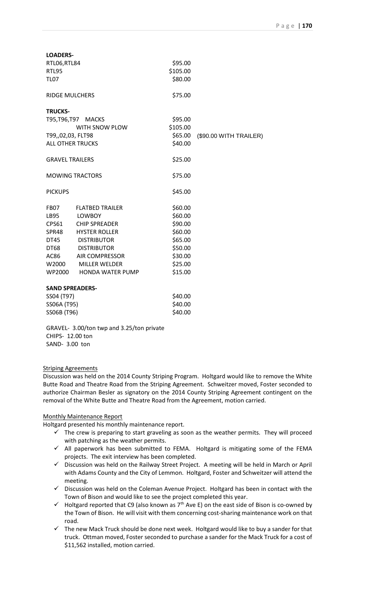| <b>LOADERS-</b>         |                                                 |          |                        |
|-------------------------|-------------------------------------------------|----------|------------------------|
| RTL06,RTL84             |                                                 | \$95.00  |                        |
| <b>RTL95</b>            |                                                 | \$105.00 |                        |
| <b>TL07</b>             |                                                 | \$80.00  |                        |
| <b>RIDGE MULCHERS</b>   |                                                 | \$75.00  |                        |
| <b>TRUCKS-</b>          |                                                 |          |                        |
| T95, T96, T97 MACKS     |                                                 | \$95.00  |                        |
|                         | WITH SNOW PLOW                                  | \$105.00 |                        |
| T99,,02,03, FLT98       |                                                 | \$65.00  | (\$90.00 WITH TRAILER) |
| <b>ALL OTHER TRUCKS</b> |                                                 | \$40.00  |                        |
| <b>GRAVEL TRAILERS</b>  |                                                 | \$25.00  |                        |
| <b>MOWING TRACTORS</b>  |                                                 | \$75.00  |                        |
| <b>PICKUPS</b>          |                                                 | \$45.00  |                        |
| FB07                    | <b>FLATBED TRAILER</b>                          | \$60.00  |                        |
| LB95                    | LOWBOY                                          | \$60.00  |                        |
| <b>CPS61</b>            | <b>CHIP SPREADER</b>                            | \$90.00  |                        |
|                         | SPR48 HYSTER ROLLER                             | \$60.00  |                        |
|                         | DT45 DISTRIBUTOR                                | \$65.00  |                        |
| DT68                    | DISTRIBUTOR                                     | \$50.00  |                        |
| AC86                    | <b>AIR COMPRESSOR</b>                           | \$30.00  |                        |
| W2000                   | <b>MILLER WELDER</b>                            | \$25.00  |                        |
| WP2000                  | HONDA WATER PUMP                                | \$15.00  |                        |
| <b>SAND SPREADERS-</b>  |                                                 |          |                        |
| SS04 (T97)              |                                                 | \$40.00  |                        |
| SS06A (T95)             |                                                 | \$40.00  |                        |
| SS06B (T96)             |                                                 | \$40.00  |                        |
|                         | $GRAVFI - 3$ $00$ /ton twn and 3.25/ton private |          |                        |

wp and 3.25/ton p CHIPS- 12.00 ton SAND- 3.00 ton

# Striping Agreements

Discussion was held on the 2014 County Striping Program. Holtgard would like to remove the White Butte Road and Theatre Road from the Striping Agreement. Schweitzer moved, Foster seconded to authorize Chairman Besler as signatory on the 2014 County Striping Agreement contingent on the removal of the White Butte and Theatre Road from the Agreement, motion carried.

# Monthly Maintenance Report

Holtgard presented his monthly maintenance report.

- $\checkmark$  The crew is preparing to start graveling as soon as the weather permits. They will proceed with patching as the weather permits.
- $\checkmark$  All paperwork has been submitted to FEMA. Holtgard is mitigating some of the FEMA projects. The exit interview has been completed.
- $\checkmark$  Discussion was held on the Railway Street Project. A meeting will be held in March or April with Adams County and the City of Lemmon. Holtgard, Foster and Schweitzer will attend the meeting.
- $\checkmark$  Discussion was held on the Coleman Avenue Project. Holtgard has been in contact with the Town of Bison and would like to see the project completed this year.
- $\checkmark$  Holtgard reported that C9 (also known as  $7<sup>th</sup>$  Ave E) on the east side of Bison is co-owned by the Town of Bison. He will visit with them concerning cost-sharing maintenance work on that road.
- $\checkmark$  The new Mack Truck should be done next week. Holtgard would like to buy a sander for that truck. Ottman moved, Foster seconded to purchase a sander for the Mack Truck for a cost of \$11,562 installed, motion carried.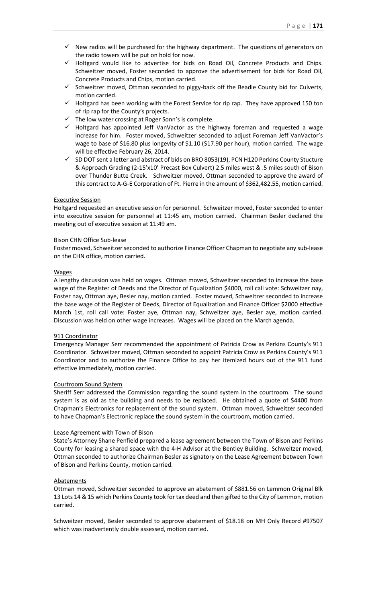- $\checkmark$  New radios will be purchased for the highway department. The questions of generators on the radio towers will be put on hold for now.
- $\checkmark$  Holtgard would like to advertise for bids on Road Oil, Concrete Products and Chips. Schweitzer moved, Foster seconded to approve the advertisement for bids for Road Oil, Concrete Products and Chips, motion carried.
- $\checkmark$  Schweitzer moved, Ottman seconded to piggy-back off the Beadle County bid for Culverts, motion carried.
- $\checkmark$  Holtgard has been working with the Forest Service for rip rap. They have approved 150 ton of rip rap for the County's projects.
- $\checkmark$  The low water crossing at Roger Sonn's is complete.
- $\checkmark$  Holtgard has appointed Jeff VanVactor as the highway foreman and requested a wage increase for him. Foster moved, Schweitzer seconded to adjust Foreman Jeff VanVactor's wage to base of \$16.80 plus longevity of \$1.10 (\$17.90 per hour), motion carried. The wage will be effective February 26, 2014.
- $\checkmark$  SD DOT sent a letter and abstract of bids on BRO 8053(19), PCN H120 Perkins County Stucture & Approach Grading (2-15'x10' Precast Box Culvert) 2.5 miles west & .5 miles south of Bison over Thunder Butte Creek. Schweitzer moved, Ottman seconded to approve the award of this contract to A-G-E Corporation of Ft. Pierre in the amount of \$362,482.55, motion carried.

## Executive Session

Holtgard requested an executive session for personnel. Schweitzer moved, Foster seconded to enter into executive session for personnel at 11:45 am, motion carried. Chairman Besler declared the meeting out of executive session at 11:49 am.

## Bison CHN Office Sub-lease

Foster moved, Schweitzer seconded to authorize Finance Officer Chapman to negotiate any sub-lease on the CHN office, motion carried.

## Wages

A lengthy discussion was held on wages. Ottman moved, Schweitzer seconded to increase the base wage of the Register of Deeds and the Director of Equalization \$4000, roll call vote: Schweitzer nay, Foster nay, Ottman aye, Besler nay, motion carried. Foster moved, Schweitzer seconded to increase the base wage of the Register of Deeds, Director of Equalization and Finance Officer \$2000 effective March 1st, roll call vote: Foster aye, Ottman nay, Schweitzer aye, Besler aye, motion carried. Discussion was held on other wage increases. Wages will be placed on the March agenda.

### 911 Coordinator

Emergency Manager Serr recommended the appointment of Patricia Crow as Perkins County's 911 Coordinator. Schweitzer moved, Ottman seconded to appoint Patricia Crow as Perkins County's 911 Coordinator and to authorize the Finance Office to pay her itemized hours out of the 911 fund effective immediately, motion carried.

# Courtroom Sound System

Sheriff Serr addressed the Commission regarding the sound system in the courtroom. The sound system is as old as the building and needs to be replaced. He obtained a quote of \$4400 from Chapman's Electronics for replacement of the sound system. Ottman moved, Schweitzer seconded to have Chapman's Electronic replace the sound system in the courtroom, motion carried.

# Lease Agreement with Town of Bison

State's Attorney Shane Penfield prepared a lease agreement between the Town of Bison and Perkins County for leasing a shared space with the 4-H Advisor at the Bentley Building. Schweitzer moved, Ottman seconded to authorize Chairman Besler as signatory on the Lease Agreement between Town of Bison and Perkins County, motion carried.

### Abatements

Ottman moved, Schweitzer seconded to approve an abatement of \$881.56 on Lemmon Original Blk 13 Lots 14 & 15 which Perkins County took for tax deed and then gifted to the City of Lemmon, motion carried.

Schweitzer moved, Besler seconded to approve abatement of \$18.18 on MH Only Record #97507 which was inadvertently double assessed, motion carried.